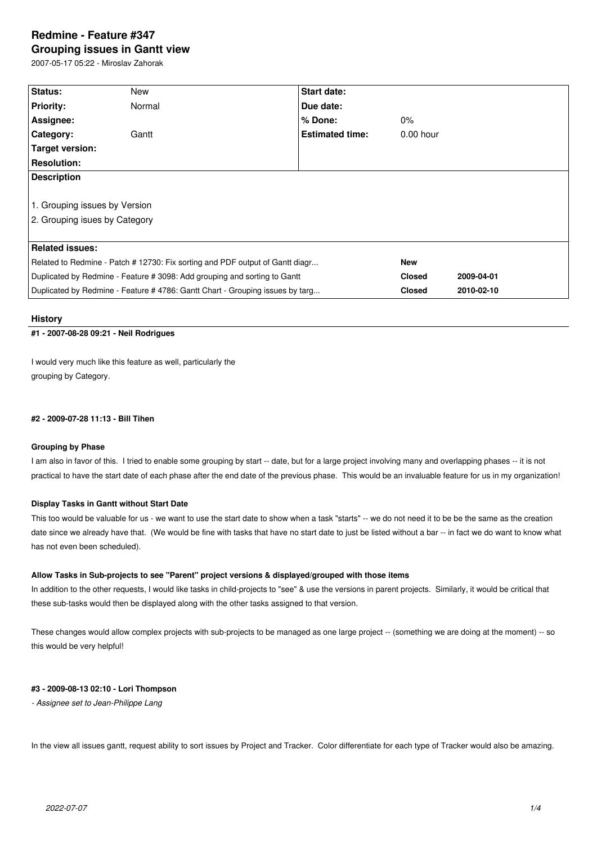# **Redmine - Feature #347 Grouping issues in Gantt view**

2007-05-17 05:22 - Miroslav Zahorak

| Status:                                                                       | New    | Start date:            |               |            |  |
|-------------------------------------------------------------------------------|--------|------------------------|---------------|------------|--|
| <b>Priority:</b>                                                              | Normal | Due date:              |               |            |  |
| Assignee:                                                                     |        | % Done:                | $0\%$         |            |  |
| Category:                                                                     | Gantt  | <b>Estimated time:</b> | $0.00$ hour   |            |  |
| Target version:                                                               |        |                        |               |            |  |
| <b>Resolution:</b>                                                            |        |                        |               |            |  |
| <b>Description</b>                                                            |        |                        |               |            |  |
|                                                                               |        |                        |               |            |  |
| 1. Grouping issues by Version                                                 |        |                        |               |            |  |
| 2. Grouping isues by Category                                                 |        |                        |               |            |  |
|                                                                               |        |                        |               |            |  |
| <b>Related issues:</b>                                                        |        |                        |               |            |  |
| Related to Redmine - Patch # 12730: Fix sorting and PDF output of Gantt diagr |        |                        | <b>New</b>    |            |  |
| Duplicated by Redmine - Feature # 3098: Add grouping and sorting to Gantt     |        |                        | <b>Closed</b> | 2009-04-01 |  |
| Duplicated by Redmine - Feature # 4786: Gantt Chart - Grouping issues by targ |        |                        | <b>Closed</b> | 2010-02-10 |  |

#### **History**

## **#1 - 2007-08-28 09:21 - Neil Rodrigues**

I would very much like this feature as well, particularly the grouping by Category.

## **#2 - 2009-07-28 11:13 - Bill Tihen**

#### **Grouping by Phase**

I am also in favor of this. I tried to enable some grouping by start -- date, but for a large project involving many and overlapping phases -- it is not practical to have the start date of each phase after the end date of the previous phase. This would be an invaluable feature for us in my organization!

## **Display Tasks in Gantt without Start Date**

This too would be valuable for us - we want to use the start date to show when a task "starts" -- we do not need it to be be the same as the creation date since we already have that. (We would be fine with tasks that have no start date to just be listed without a bar -- in fact we do want to know what has not even been scheduled).

## **Allow Tasks in Sub-projects to see "Parent" project versions & displayed/grouped with those items**

In addition to the other requests, I would like tasks in child-projects to "see" & use the versions in parent projects. Similarly, it would be critical that these sub-tasks would then be displayed along with the other tasks assigned to that version.

These changes would allow complex projects with sub-projects to be managed as one large project -- (something we are doing at the moment) -- so this would be very helpful!

### **#3 - 2009-08-13 02:10 - Lori Thompson**

*- Assignee set to Jean-Philippe Lang*

In the view all issues gantt, request ability to sort issues by Project and Tracker. Color differentiate for each type of Tracker would also be amazing.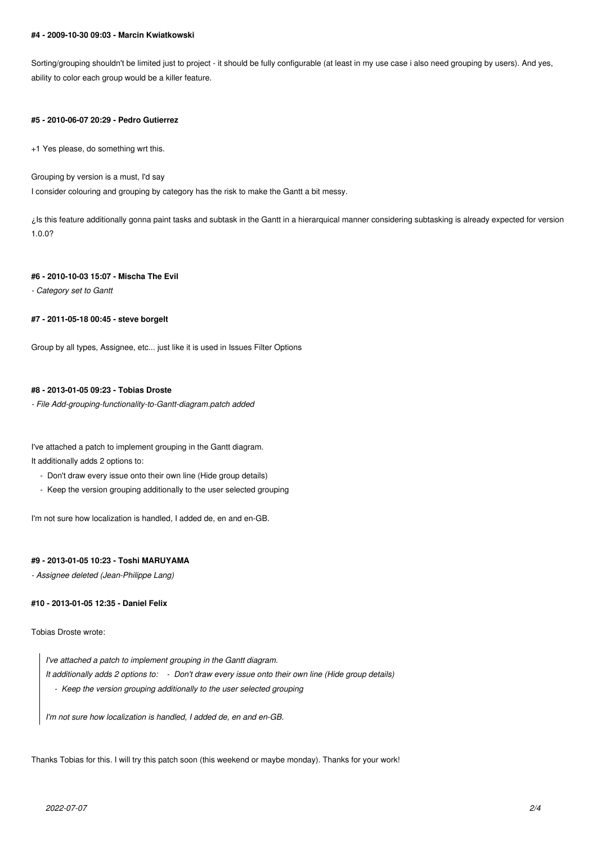#### **#4 - 2009-10-30 09:03 - Marcin Kwiatkowski**

Sorting/grouping shouldn't be limited just to project - it should be fully configurable (at least in my use case i also need grouping by users). And yes, ability to color each group would be a killer feature.

#### **#5 - 2010-06-07 20:29 - Pedro Gutierrez**

+1 Yes please, do something wrt this.

Grouping by version is a must, I'd say

I consider colouring and grouping by category has the risk to make the Gantt a bit messy.

¿Is this feature additionally gonna paint tasks and subtask in the Gantt in a hierarquical manner considering subtasking is already expected for version 1.0.0?

#### **#6 - 2010-10-03 15:07 - Mischa The Evil**

*- Category set to Gantt*

## **#7 - 2011-05-18 00:45 - steve borgelt**

Group by all types, Assignee, etc... just like it is used in Issues Filter Options

## **#8 - 2013-01-05 09:23 - Tobias Droste**

*- File Add-grouping-functionality-to-Gantt-diagram.patch added*

I've attached a patch to implement grouping in the Gantt diagram.

It additionally adds 2 options to:

- Don't draw every issue onto their own line (Hide group details)
- Keep the version grouping additionally to the user selected grouping

I'm not sure how localization is handled, I added de, en and en-GB.

## **#9 - 2013-01-05 10:23 - Toshi MARUYAMA**

*- Assignee deleted (Jean-Philippe Lang)*

## **#10 - 2013-01-05 12:35 - Daniel Felix**

Tobias Droste wrote:

*I've attached a patch to implement grouping in the Gantt diagram. It additionally adds 2 options to: - Don't draw every issue onto their own line (Hide group details) - Keep the version grouping additionally to the user selected grouping*

*I'm not sure how localization is handled, I added de, en and en-GB.*

Thanks Tobias for this. I will try this patch soon (this weekend or maybe monday). Thanks for your work!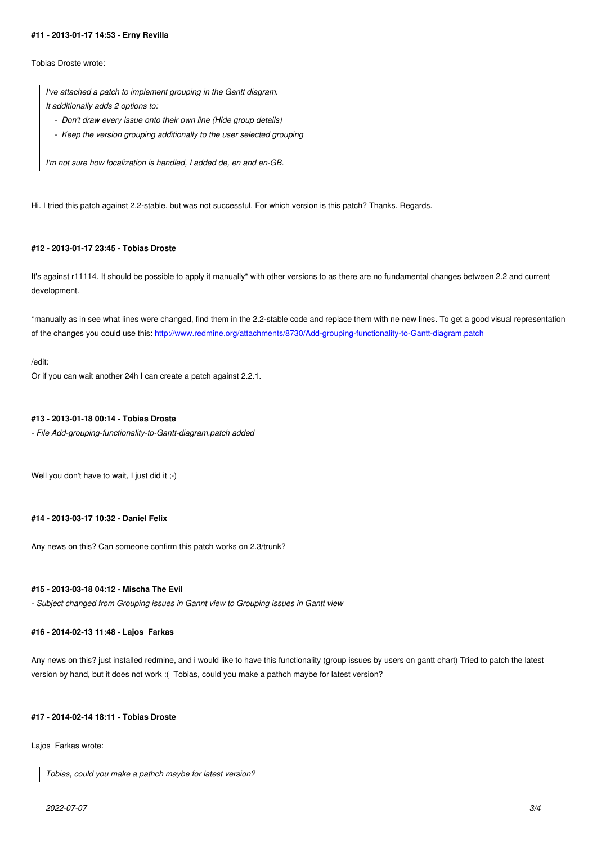Tobias Droste wrote:

*I've attached a patch to implement grouping in the Gantt diagram. It additionally adds 2 options to:*

- *Don't draw every issue onto their own line (Hide group details)*
- *Keep the version grouping additionally to the user selected grouping*

*I'm not sure how localization is handled, I added de, en and en-GB.*

Hi. I tried this patch against 2.2-stable, but was not successful. For which version is this patch? Thanks. Regards.

## **#12 - 2013-01-17 23:45 - Tobias Droste**

It's against r11114. It should be possible to apply it manually\* with other versions to as there are no fundamental changes between 2.2 and current development.

\*manually as in see what lines were changed, find them in the 2.2-stable code and replace them with ne new lines. To get a good visual representation of the changes you could use this: http://www.redmine.org/attachments/8730/Add-grouping-functionality-to-Gantt-diagram.patch

#### /edit:

Or if you can wait another 24h I ca[n create a patch against 2.2.1.](http://www.redmine.org/attachments/8730/Add-grouping-functionality-to-Gantt-diagram.patch)

## **#13 - 2013-01-18 00:14 - Tobias Droste**

*- File Add-grouping-functionality-to-Gantt-diagram.patch added*

Well you don't have to wait, I just did it ;-)

## **#14 - 2013-03-17 10:32 - Daniel Felix**

Any news on this? Can someone confirm this patch works on 2.3/trunk?

## **#15 - 2013-03-18 04:12 - Mischa The Evil**

*- Subject changed from Grouping issues in Gannt view to Grouping issues in Gantt view*

#### **#16 - 2014-02-13 11:48 - Lajos Farkas**

Any news on this? just installed redmine, and i would like to have this functionality (group issues by users on gantt chart) Tried to patch the latest version by hand, but it does not work :( Tobias, could you make a pathch maybe for latest version?

## **#17 - 2014-02-14 18:11 - Tobias Droste**

Lajos Farkas wrote:

*Tobias, could you make a pathch maybe for latest version?*